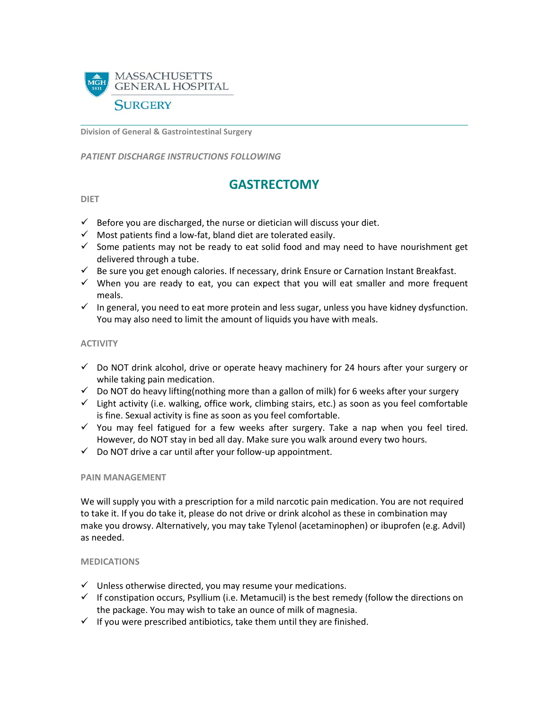

**Division of General & Gastrointestinal Surgery**

*PATIENT DISCHARGE INSTRUCTIONS FOLLOWING* 

# **GASTRECTOMY**

#### **DIET**

- $\checkmark$  Before you are discharged, the nurse or dietician will discuss your diet.
- $\checkmark$  Most patients find a low-fat, bland diet are tolerated easily.
- $\checkmark$  Some patients may not be ready to eat solid food and may need to have nourishment get delivered through a tube.
- $\checkmark$  Be sure you get enough calories. If necessary, drink Ensure or Carnation Instant Breakfast.
- $\checkmark$  When you are ready to eat, you can expect that you will eat smaller and more frequent meals.
- $\checkmark$  In general, you need to eat more protein and less sugar, unless you have kidney dysfunction. You may also need to limit the amount of liquids you have with meals.

#### **ACTIVITY**

- $\checkmark$  Do NOT drink alcohol, drive or operate heavy machinery for 24 hours after your surgery or while taking pain medication.
- $\checkmark$  Do NOT do heavy lifting(nothing more than a gallon of milk) for 6 weeks after your surgery
- $\checkmark$  Light activity (i.e. walking, office work, climbing stairs, etc.) as soon as you feel comfortable is fine. Sexual activity is fine as soon as you feel comfortable.
- $\checkmark$  You may feel fatigued for a few weeks after surgery. Take a nap when you feel tired. However, do NOT stay in bed all day. Make sure you walk around every two hours.
- $\checkmark$  Do NOT drive a car until after your follow-up appointment.

#### **PAIN MANAGEMENT**

We will supply you with a prescription for a mild narcotic pain medication. You are not required to take it. If you do take it, please do not drive or drink alcohol as these in combination may make you drowsy. Alternatively, you may take Tylenol (acetaminophen) or ibuprofen (e.g. Advil) as needed.

#### **MEDICATIONS**

- $\checkmark$  Unless otherwise directed, you may resume your medications.
- $\checkmark$  If constipation occurs, Psyllium (i.e. Metamucil) is the best remedy (follow the directions on the package. You may wish to take an ounce of milk of magnesia.
- $\checkmark$  If you were prescribed antibiotics, take them until they are finished.